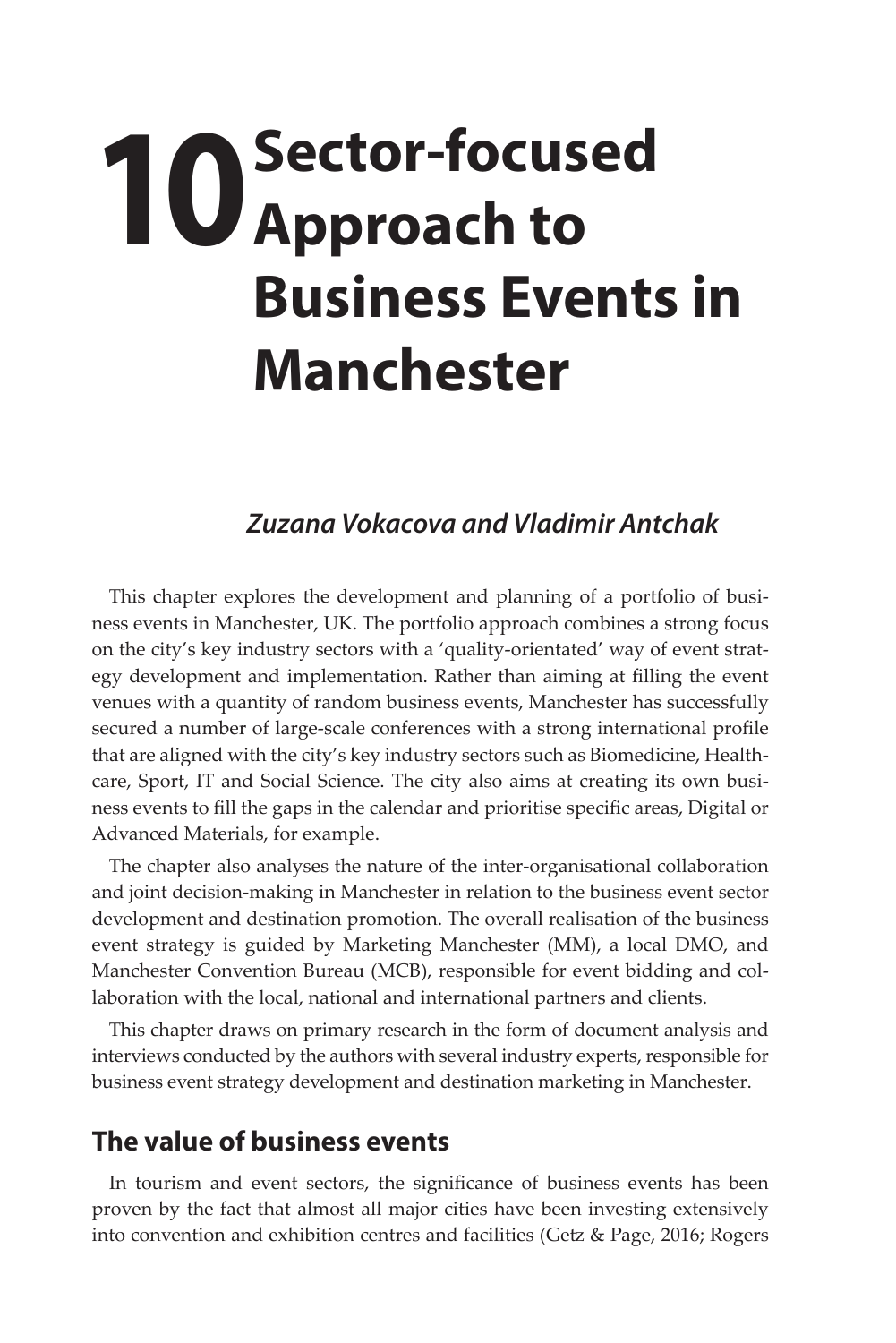## **10** Sector-focused<br>**10** Approach to **Approach to Business Events in Manchester**

## *Zuzana Vokacova and Vladimir Antchak*

This chapter explores the development and planning of a portfolio of business events in Manchester, UK. The portfolio approach combines a strong focus on the city's key industry sectors with a 'quality-orientated' way of event strategy development and implementation. Rather than aiming at filling the event venues with a quantity of random business events, Manchester has successfully secured a number of large-scale conferences with a strong international profile that are aligned with the city's key industry sectors such as Biomedicine, Healthcare, Sport, IT and Social Science. The city also aims at creating its own business events to fill the gaps in the calendar and prioritise specific areas, Digital or Advanced Materials, for example.

The chapter also analyses the nature of the inter-organisational collaboration and joint decision-making in Manchester in relation to the business event sector development and destination promotion. The overall realisation of the business event strategy is guided by Marketing Manchester (MM), a local DMO, and Manchester Convention Bureau (MCB), responsible for event bidding and collaboration with the local, national and international partners and clients.

This chapter draws on primary research in the form of document analysis and interviews conducted by the authors with several industry experts, responsible for business event strategy development and destination marketing in Manchester.

## **The value of business events**

In tourism and event sectors, the significance of business events has been proven by the fact that almost all major cities have been investing extensively into convention and exhibition centres and facilities (Getz & Page, 2016; Rogers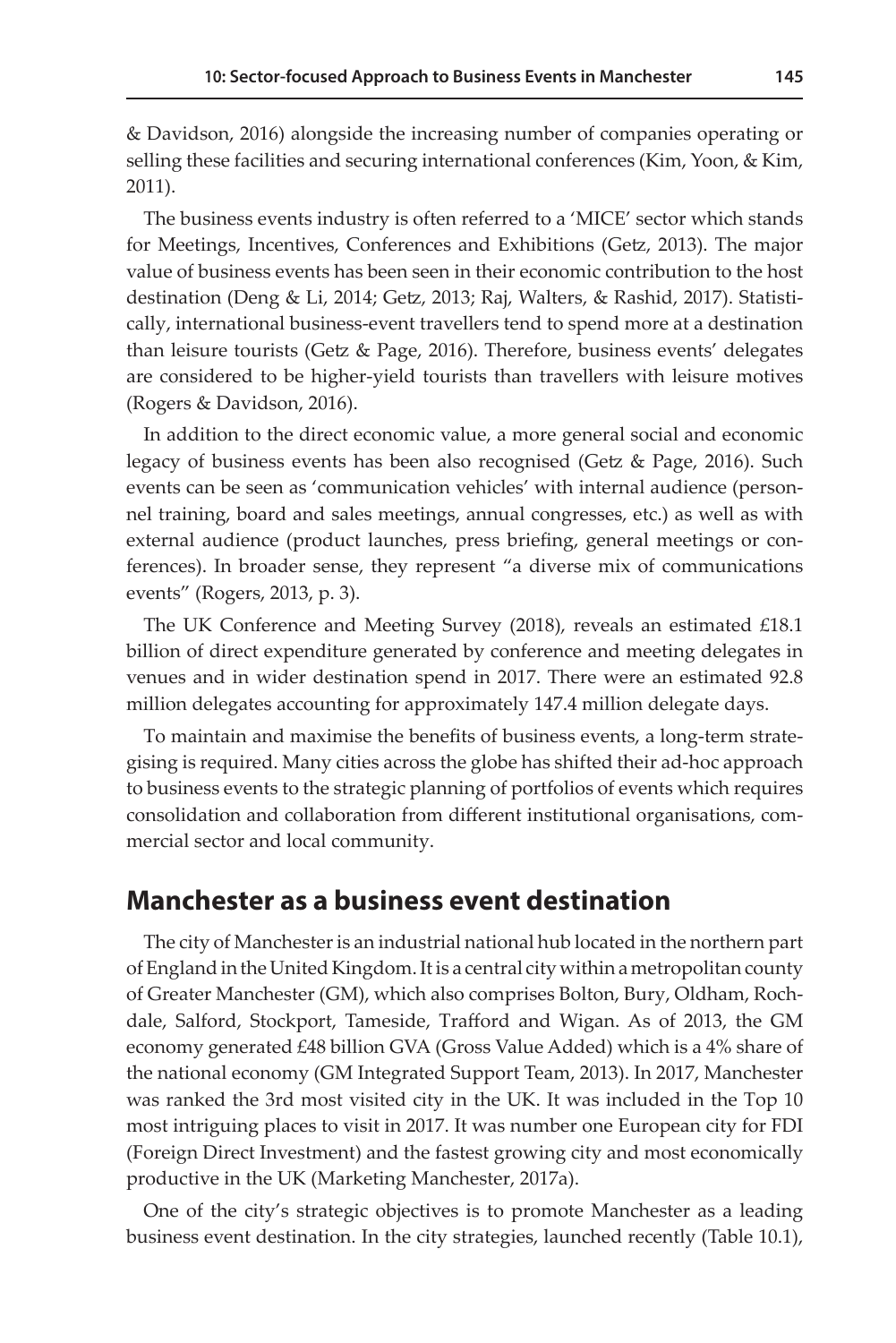& Davidson, 2016) alongside the increasing number of companies operating or selling these facilities and securing international conferences (Kim, Yoon, & Kim, 2011).

The business events industry is often referred to a 'MICE' sector which stands for Meetings, Incentives, Conferences and Exhibitions (Getz, 2013). The major value of business events has been seen in their economic contribution to the host destination (Deng & Li, 2014; Getz, 2013; Raj, Walters, & Rashid, 2017). Statistically, international business-event travellers tend to spend more at a destination than leisure tourists (Getz & Page, 2016). Therefore, business events' delegates are considered to be higher-yield tourists than travellers with leisure motives (Rogers & Davidson, 2016).

In addition to the direct economic value, a more general social and economic legacy of business events has been also recognised (Getz & Page, 2016). Such events can be seen as 'communication vehicles' with internal audience (personnel training, board and sales meetings, annual congresses, etc.) as well as with external audience (product launches, press briefing, general meetings or conferences). In broader sense, they represent "a diverse mix of communications events" (Rogers, 2013, p. 3).

The UK Conference and Meeting Survey (2018), reveals an estimated £18.1 billion of direct expenditure generated by conference and meeting delegates in venues and in wider destination spend in 2017. There were an estimated 92.8 million delegates accounting for approximately 147.4 million delegate days.

To maintain and maximise the benefits of business events, a long-term strategising is required. Many cities across the globe has shifted their ad-hoc approach to business events to the strategic planning of portfolios of events which requires consolidation and collaboration from different institutional organisations, commercial sector and local community.

## **Manchester as a business event destination**

The city of Manchester is an industrial national hub located in the northern part of England in the United Kingdom. It is a central city within a metropolitan county of Greater Manchester (GM), which also comprises [Bolton,](https://en.wikipedia.org/wiki/Metropolitan_Borough_of_Bolton) [Bury,](https://en.wikipedia.org/wiki/Metropolitan_Borough_of_Bury) [Oldham](https://en.wikipedia.org/wiki/Metropolitan_Borough_of_Oldham), [Roch](https://en.wikipedia.org/wiki/Metropolitan_Borough_of_Rochdale)[dale](https://en.wikipedia.org/wiki/Metropolitan_Borough_of_Rochdale), Salford, [Stockport](https://en.wikipedia.org/wiki/Metropolitan_Borough_of_Stockport), [Tameside](https://en.wikipedia.org/wiki/Tameside), [Trafford](https://en.wikipedia.org/wiki/Trafford) and [Wigan.](https://en.wikipedia.org/wiki/Metropolitan_Borough_of_Wigan) As of 2013, the GM economy generated £48 billion GVA (Gross Value Added) which is a 4% share of the national economy (GM Integrated Support Team, 2013). In 2017, Manchester was ranked the 3rd most visited city in the UK. It was included in the Top 10 most intriguing places to visit in 2017. It was number one European city for FDI (Foreign Direct Investment) and the fastest growing city and most economically productive in the UK (Marketing Manchester, 2017a).

One of the city's strategic objectives is to promote Manchester as a leading business event destination. In the city strategies, launched recently (Table 10.1),